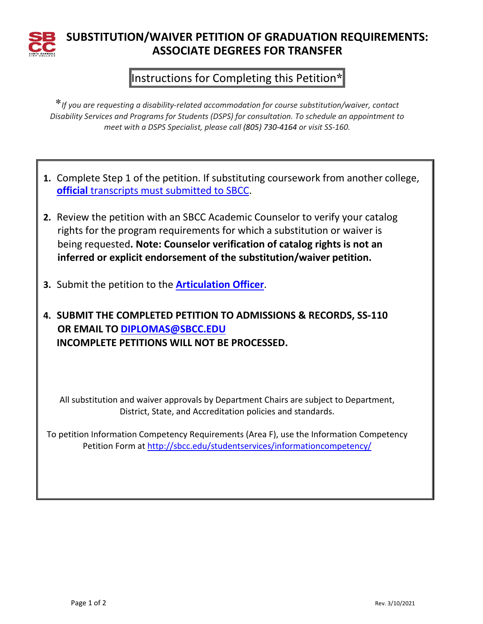

## **SUBSTITUTION/WAIVER PETITION OF GRADUATION REQUIREMENTS: ASSOCIATE DEGREES FOR TRANSFER**

## Instructions for Completing this Petition**\***

\**If you are requesting a disability-related accommodation for course substitution/waiver, contact Disability Services and Programs for Students (DSPS) for consultation. To schedule an appointment to meet with a DSPS Specialist, please call (805) 730-4164 or visit SS-160.*

- **1.** Complete Step 1 of the petition. If substituting coursework from another college, **official** [transcripts must submitted to SBCC.](http://sbcc.edu/transcripts/incomingtranscripts.php)
- **2.** Review the petition with an SBCC Academic Counselor to verify your catalog rights for the program requirements for which a substitution or waiver is being requested**. Note: Counselor verification of catalog rights is not an inferred or explicit endorsement of the substitution/waiver petition.**
- **3.** Submit the petition to the **[Articulation Officer](http://articulation.sbcc.edu/)**.
- **4. SUBMIT THE COMPLETED PETITION TO ADMISSIONS & RECORDS, SS-110 OR EMAIL TO [DIPLOMAS@SBCC.EDU](mailto:DIPLOMAS@SBCC.EDU) INCOMPLETE PETITIONS WILL NOT BE PROCESSED.**

All substitution and waiver approvals by Department Chairs are subject to Department, District, State, and Accreditation policies and standards.

To petition Information Competency Requirements (Area F), use the Information Competency Petition Form at<http://sbcc.edu/studentservices/informationcompetency/>